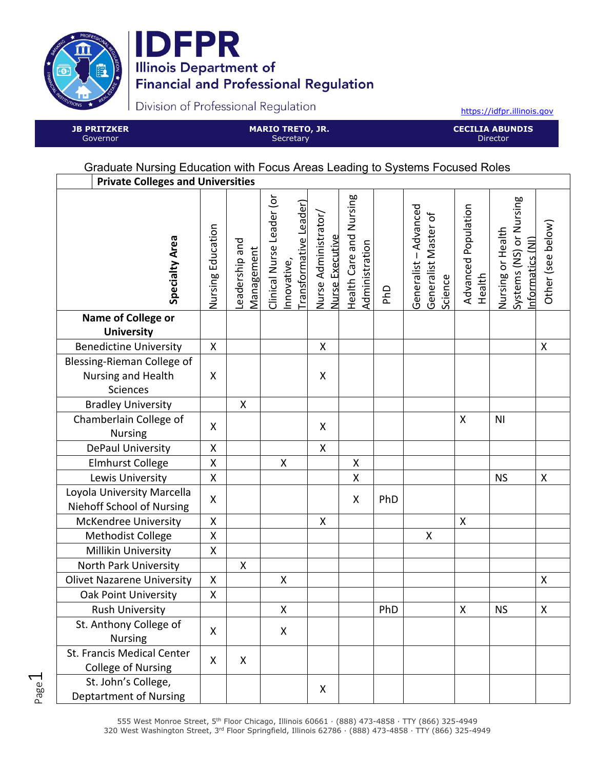

Page  $\overline{\phantom{0}}$ 



Division of Professional Regulation

https://idfpr.illinois.gov

**JB PRITZKER**  Governor

**MARIO TRETO, JR. Secretary** 

**CECILIA ABUNDIS**  Director

## Graduate Nursing Education with Focus Areas Leading to Systems Focused Roles

| <b>Private Colleges and Universities</b>                    |                    |                              |                                                                   |                                         |                                           |     |                                                          |                               |                                                                 |                    |
|-------------------------------------------------------------|--------------------|------------------------------|-------------------------------------------------------------------|-----------------------------------------|-------------------------------------------|-----|----------------------------------------------------------|-------------------------------|-----------------------------------------------------------------|--------------------|
| <b>Specialty Area</b>                                       | Nursing Education  | Leadership and<br>Management | Clinical Nurse Leader (or<br>Transformative Leader)<br>nnovative, | Nurse Administrator/<br>Nurse Executive | Health Care and Nursing<br>Administration | PhD | Generalist - Advanced<br>Generalist Master of<br>Science | Advanced Population<br>Health | Systems (NS) or Nursing<br>Nursing or Health<br>nformatics (NI) | Other (see below)  |
| Name of College or<br><b>University</b>                     |                    |                              |                                                                   |                                         |                                           |     |                                                          |                               |                                                                 |                    |
|                                                             | $\pmb{\mathsf{X}}$ |                              |                                                                   | $\pmb{\mathsf{X}}$                      |                                           |     |                                                          |                               |                                                                 | $\pmb{\mathsf{X}}$ |
| <b>Benedictine University</b><br>Blessing-Rieman College of |                    |                              |                                                                   |                                         |                                           |     |                                                          |                               |                                                                 |                    |
| Nursing and Health                                          | X                  |                              |                                                                   | X                                       |                                           |     |                                                          |                               |                                                                 |                    |
| Sciences                                                    |                    |                              |                                                                   |                                         |                                           |     |                                                          |                               |                                                                 |                    |
| <b>Bradley University</b>                                   |                    | $\mathsf{X}$                 |                                                                   |                                         |                                           |     |                                                          |                               |                                                                 |                    |
| Chamberlain College of<br><b>Nursing</b>                    | X                  |                              |                                                                   | X                                       |                                           |     |                                                          | $\pmb{\mathsf{X}}$            | N <sub>1</sub>                                                  |                    |
| DePaul University                                           | X                  |                              |                                                                   | $\mathsf{X}$                            |                                           |     |                                                          |                               |                                                                 |                    |
| <b>Elmhurst College</b>                                     | X                  |                              | X                                                                 |                                         | Χ                                         |     |                                                          |                               |                                                                 |                    |
| Lewis University                                            | X                  |                              |                                                                   |                                         | Χ                                         |     |                                                          |                               | <b>NS</b>                                                       | X                  |
| Loyola University Marcella<br>Niehoff School of Nursing     | $\pmb{\mathsf{X}}$ |                              |                                                                   |                                         | X                                         | PhD |                                                          |                               |                                                                 |                    |
| <b>McKendree University</b>                                 | X                  |                              |                                                                   | X                                       |                                           |     |                                                          | X                             |                                                                 |                    |
| Methodist College                                           | X                  |                              |                                                                   |                                         |                                           |     | X                                                        |                               |                                                                 |                    |
| Millikin University                                         | X                  |                              |                                                                   |                                         |                                           |     |                                                          |                               |                                                                 |                    |
| North Park University                                       |                    | $\mathsf{X}$                 |                                                                   |                                         |                                           |     |                                                          |                               |                                                                 |                    |
| <b>Olivet Nazarene University</b>                           | $\pmb{\mathsf{X}}$ |                              | Χ                                                                 |                                         |                                           |     |                                                          |                               |                                                                 | X                  |
| <b>Oak Point University</b>                                 | $\pmb{\mathsf{X}}$ |                              |                                                                   |                                         |                                           |     |                                                          |                               |                                                                 |                    |
| <b>Rush University</b>                                      |                    |                              | Χ                                                                 |                                         |                                           | PhD |                                                          | Χ                             | <b>NS</b>                                                       | X                  |
| St. Anthony College of<br><b>Nursing</b>                    | X                  |                              | X                                                                 |                                         |                                           |     |                                                          |                               |                                                                 |                    |
| St. Francis Medical Center<br><b>College of Nursing</b>     | X                  | X                            |                                                                   |                                         |                                           |     |                                                          |                               |                                                                 |                    |
| St. John's College,<br><b>Deptartment of Nursing</b>        |                    |                              |                                                                   | X                                       |                                           |     |                                                          |                               |                                                                 |                    |